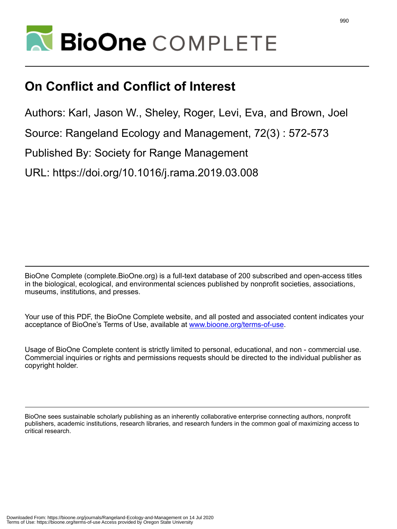

## **On Conflict and Conflict of Interest**

Authors: Karl, Jason W., Sheley, Roger, Levi, Eva, and Brown, Joel

Source: Rangeland Ecology and Management, 72(3) : 572-573

Published By: Society for Range Management

URL: https://doi.org/10.1016/j.rama.2019.03.008

BioOne Complete (complete.BioOne.org) is a full-text database of 200 subscribed and open-access titles in the biological, ecological, and environmental sciences published by nonprofit societies, associations, museums, institutions, and presses.

Your use of this PDF, the BioOne Complete website, and all posted and associated content indicates your acceptance of BioOne's Terms of Use, available at www.bioone.org/terms-of-use.

Usage of BioOne Complete content is strictly limited to personal, educational, and non - commercial use. Commercial inquiries or rights and permissions requests should be directed to the individual publisher as copyright holder.

BioOne sees sustainable scholarly publishing as an inherently collaborative enterprise connecting authors, nonprofit publishers, academic institutions, research libraries, and research funders in the common goal of maximizing access to critical research.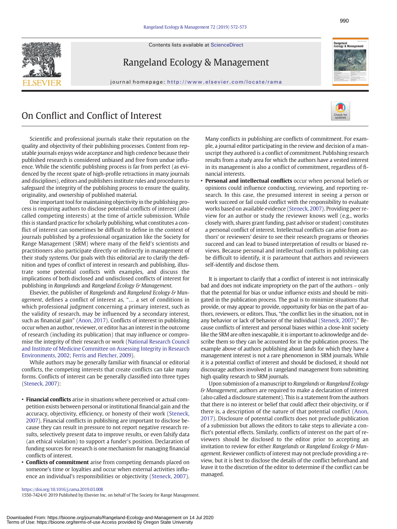Contents lists available at ScienceDirect



Rangeland Ecology & Management

journal homepage: http://www.elsevier.com/locate/rama

## On Conflict and Conflict of Interest



Scientific and professional journals stake their reputation on the quality and objectivity of their publishing processes. Content from reputable journals enjoys wide acceptance and high credence because their published research is considered unbiased and free from undue influence. While the scientific publishing process is far from perfect (as evidenced by the recent spate of high-profile retractions in many journals and disciplines), editors and publishers institute rules and procedures to safeguard the integrity of the publishing process to ensure the quality, originality, and ownership of published material.

One important tool for maintaining objectivity in the publishing process is requiring authors to disclose potential conflicts of interest (also called competing interests) at the time of article submission. While this is standard practice for scholarly publishing, what constitutes a conflict of interest can sometimes be difficult to define in the context of journals published by a professional organization like the Society for Range Management (SRM) where many of the field's scientists and practitioners also participate directly or indirectly in management of their study systems. Our goals with this editorial are to clarify the definition and types of conflict of interest in research and publishing, illustrate some potential conflicts with examples, and discuss the implications of both disclosed and undisclosed conflicts of interest for publishing in Rangelands and Rangeland Ecology & Management.

Elsevier, the publisher of Rangelands and Rangeland Ecology & Management, defines a conflict of interest as, "… a set of conditions in which professional judgment concerning a primary interest, such as the validity of research, may be influenced by a secondary interest, such as financial gain" [\(Anon, 2017](#page-2-0)). Conflicts of interest in publishing occur when an author, reviewer, or editor has an interest in the outcome of research (including its publication) that may influence or compromise the integrity of their research or work [\(National Research Council](#page-2-0) [and Institute of Medicine Committee on Assessing Integrity in Research](#page-2-0) [Environments, 2002; Ferris and Fletcher, 2009](#page-2-0)).

While authors may be generally familiar with financial or editorial conflicts, the competing interests that create conflicts can take many forms. Conflicts of interest can be generally classified into three types [\(Steneck, 2007](#page-2-0)):

- Financial conflicts arise in situations where perceived or actual competition exists between personal or institutional financial gain and the accuracy, objectivity, efficiency, or honesty of their work [\(Steneck,](#page-2-0) [2007](#page-2-0)). Financial conflicts in publishing are important to disclose because they can result in pressure to not report negative research results, selectively present data to improve results, or even falsify data (an ethical violation) to support a funder's position. Declaration of funding sources for research is one mechanism for managing financial conflicts of interest.
- Conflicts of commitment arise from competing demands placed on someone's time or loyalties and occur when external activities influence an individual's responsibilities or objectivity [\(Steneck, 2007](#page-2-0)).

Many conflicts in publishing are conflicts of commitment. For example, a journal editor participating in the review and decision of a manuscript they authored is a conflict of commitment. Publishing research results from a study area for which the authors have a vested interest in its management is also a conflict of commitment, regardless of financial interests.

• Personal and intellectual conflicts occur when personal beliefs or opinions could influence conducting, reviewing, and reporting research. In this case, the presumed interest in seeing a person or work succeed or fail could conflict with the responsibility to evaluate works based on available evidence ([Steneck, 2007](#page-2-0)). Providing peer review for an author or study the reviewer knows well (e.g., works closely with, shares grant funding, past advisor or student) constitutes a personal conflict of interest. Intellectual conflicts can arise from authors' or reviewers' desire to see their research programs or theories succeed and can lead to biased interpretation of results or biased reviews. Because personal and intellectual conflicts in publishing can be difficult to identify, it is paramount that authors and reviewers self-identify and disclose them.

It is important to clarify that a conflict of interest is not intrinsically bad and does not indicate impropriety on the part of the authors – only that the potential for bias or undue influence exists and should be mitigated in the publication process. The goal is to minimize situations that provide, or may appear to provide, opportunity for bias on the part of authors, reviewers, or editors. Thus, "the conflict lies in the situation, not in any behavior or lack of behavior of the individual [\(Steneck, 2007](#page-2-0))." Because conflicts of interest and personal biases within a close-knit society like the SRM are often inescapable, it is important to acknowledge and describe them so they can be accounted for in the publication process. The example above of authors publishing about lands for which they have a management interest is not a rare phenomenon in SRM journals. While it is a potential conflict of interest and should be disclosed, it should not discourage authors involved in rangeland management from submitting high quality research to SRM journals.

Upon submission of a manuscript to Rangelands or Rangeland Ecology & Management, authors are required to make a declaration of interest (also called a disclosure statement). This is a statement from the authors that there is no interest or belief that could affect their objectivity, or if there is, a description of the nature of that potential conflict [\(Anon,](#page-2-0) [2017\)](#page-2-0). Disclosure of potential conflicts does not preclude publication of a submission but allows the editors to take steps to alleviate a conflict's potential effects. Similarly, conflicts of interest on the part of reviewers should be disclosed to the editor prior to accepting an invitation to review for either Rangelands or Rangeland Ecology & Management. Reviewer conflicts of interest may not preclude providing a review, but it is best to disclose the details of the conflict beforehand and leave it to the discretion of the editor to determine if the conflict can be managed.

## <https://doi.org/10.1016/j.rama.2019.03.008>

1550-7424/© 2019 Published by Elsevier Inc. on behalf of The Society for Range Management.

Rangeland<br>Ecology & Manageme